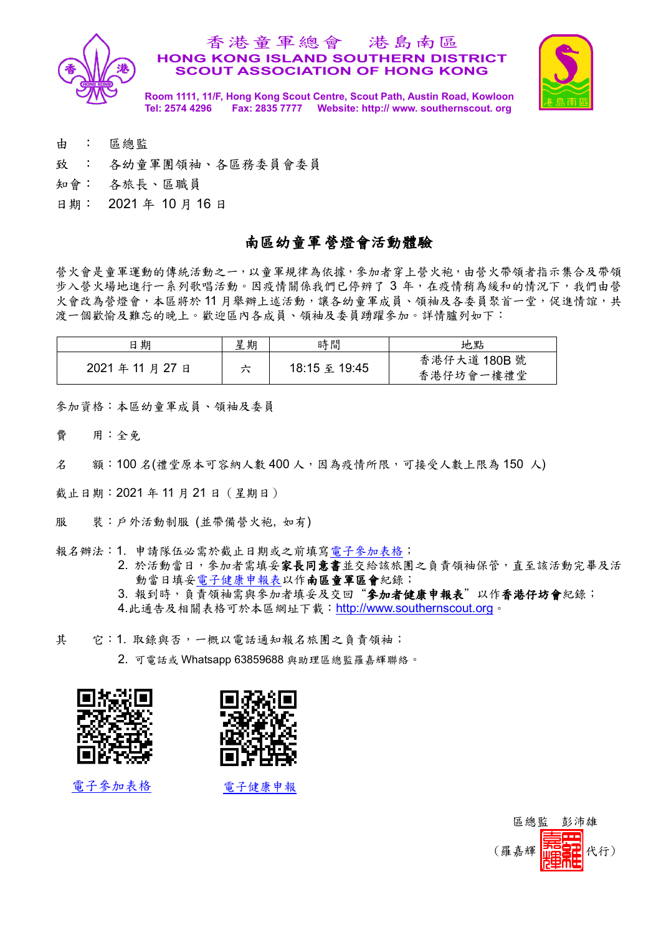

### 香港童軍總會 港島南區 **HONG KONG ISLAND SOUTHERN DISTRICT SCOUT ASSOCIATION OF HONG KONG**



**Room 1111, 11/F, Hong Kong Scout Centre, Scout Path, Austin Road, Kowloon Tel: 2574 4296 Fax: 2835 7777 Website: http:// www. southernscout. org**

- 由 : 區總監
- 致 : 各幼童軍團領袖、各區務委員會委員
- 知會: 各旅長、區職員
- 日期: 2021 年 10 月 16 日

# 南區幼童軍營燈會活動體驗

營火會是童軍運動的傳統活動之一,以童軍規律為依據,參加者穿上營火袍,由營火帶領者指示集合及帶領 步入營火場地進行一系列歌唱活動。因疫情關係我們已停辨了 3 年,在疫情稍為緩和的情況下,我們由營 火會改為營燈會,本區將於11月舉辦上述活動,讓各幼童軍成員、領袖及各委員聚首一堂,促進情誼,共 渡一個歡愉及難忘的晚上。歡迎區內各成員、領袖及委員踴躍參加。詳情臚列如下:

| 日期          | 星期 | 時間            | 地點                        |
|-------------|----|---------------|---------------------------|
| 2021年11月27日 | ハ  | 18:15 至 19:45 | 香港仔大道 180B 號<br>香港仔坊會一樓禮堂 |

參加資格:本區幼童軍成員、領袖及委員

費 用:全免

名 額:100 名(禮堂原本可容納人數 400 人,因為疫情所限,可接受人數上限為 150 人)

截止日期:2021 年 11 月 21 日(星期日)

- 服 装:戶外活動制服 (並帶備營火袍, 如有)
- 報名辦法:1. 申請隊伍必需於截止日期或之前填[寫電子參加表格;](https://forms.gle/buk4BJJeGs9PCqL38)

2. 於活動當日,參加者需填妥家長同意書並交給該旅團之負責領袖保管,直至該活動完畢及活 動當日填[妥電子健康申報表以](https://forms.gle/yszCXJGUeH273ced9)作南區童軍區會紀錄;

3. 報到時,負責領袖需與參加者填妥及交回"參加者健康申報表"以作香港仔坊會紀錄;

- 4.此通告及相關表格可於本區網址下載:[http://www.southernscout.org](http://southernscout.org/)。
- 其 它:1. 取錄與否,一概以電話通知報名旅團之負責領袖;

2. 可電話或 Whatsapp 63859688 與助理區總監羅嘉輝聯絡。





[電子參加表格](https://forms.gle/buk4BJJeGs9PCqL38) [電子健康申報](https://forms.gle/yszCXJGUeH273ced9)

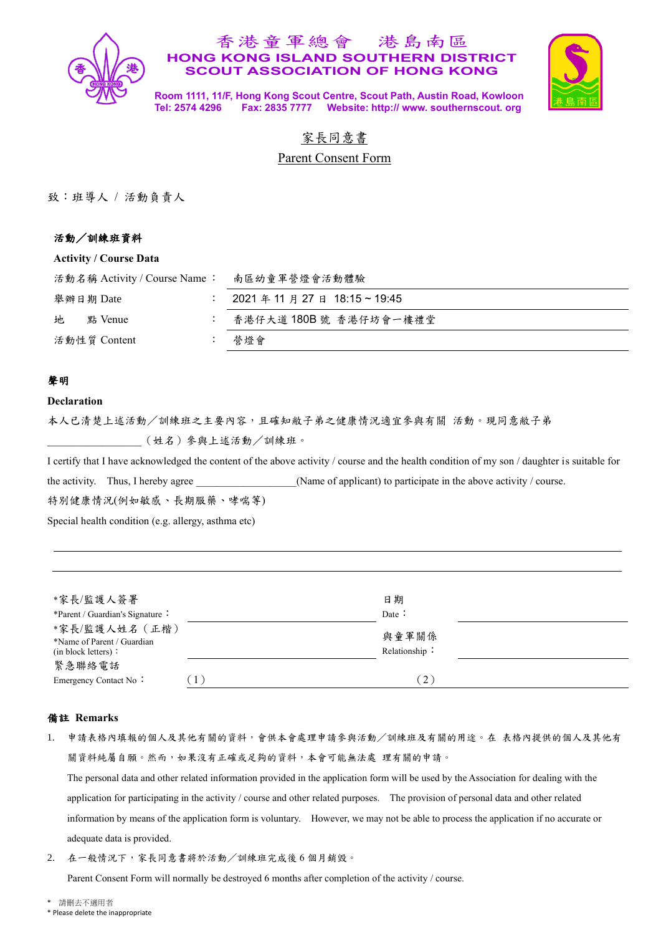

## 香港童軍總會 港島南區 **HONG KONG ISLAND SOUTHERN DISTRICT SCOUT ASSOCIATION OF HONG KONG**



**Room 1111, 11/F, Hong Kong Scout Centre, Scout Path, Austin Road, Kowloon Tel: 2574 4296 Fax: 2835 7777 Website: http:// www. southernscout. org**

# 家長同意書

Parent Consent Form

致:班導人 / 活動負責人

## 活動/訓練班資料

#### **Activity / Course Data**

| 活動名稱 Activity / Course Name: | 南區幼童軍營燈會活動體驗                   |
|------------------------------|--------------------------------|
| 舉辦日期 Date                    | 2021 年 11 月 27 日 18:15 ~ 19:45 |
| 地<br>點 Venue                 | 香港仔大道 180B 號 香港仔坊會一樓禮堂         |
| 活動性質 Content                 | 營燈會                            |

## 聲明

#### **Declaration**

本人已清楚上述活動/訓練班之主要內容,且確知敝子弟之健康情況適宜參與有關 活動。現同意敝子弟 \_\_\_\_\_\_\_\_\_\_\_\_\_\_\_\_\_(姓名)參與上述活動/訓練班。

I certify that I have acknowledged the content of the above activity / course and the health condition of my son / daughter is suitable for

the activity. Thus, I hereby agree \_\_\_\_\_\_\_\_\_\_\_\_\_\_(Name of applicant) to participate in the above activity / course.

特別健康情況(例如敏感、長期服藥、哮喘等)

Special health condition (e.g. allergy, asthma etc)

| *家長/監護人簽署<br>*Parent / Guardian's Signature :<br>*家長/監護人姓名 (正楷)<br>*Name of Parent / Guardian<br>(in block letters):<br>緊急聯絡電話 |                  | 日期<br>Date :<br>與童軍關係<br>Relationship: |
|--------------------------------------------------------------------------------------------------------------------------------|------------------|----------------------------------------|
| Emergency Contact No:                                                                                                          | $\left(1\right)$ | (2)                                    |

#### 備註 **Remarks**

1. 申請表格內填報的個人及其他有關的資料,會供本會處理申請參與活動/訓練班及有關的用途。在 表格內提供的個人及其他有 關資料純屬自願。然而,如果沒有正確或足夠的資料,本會可能無法處 理有關的申請。

The personal data and other related information provided in the application form will be used by the Association for dealing with the application for participating in the activity / course and other related purposes. The provision of personal data and other related information by means of the application form is voluntary. However, we may not be able to process the application if no accurate or adequate data is provided.

2. 在一般情況下,家長同意書將於活動/訓練班完成後 6 個月銷毁。

Parent Consent Form will normally be destroyed 6 months after completion of the activity / course.